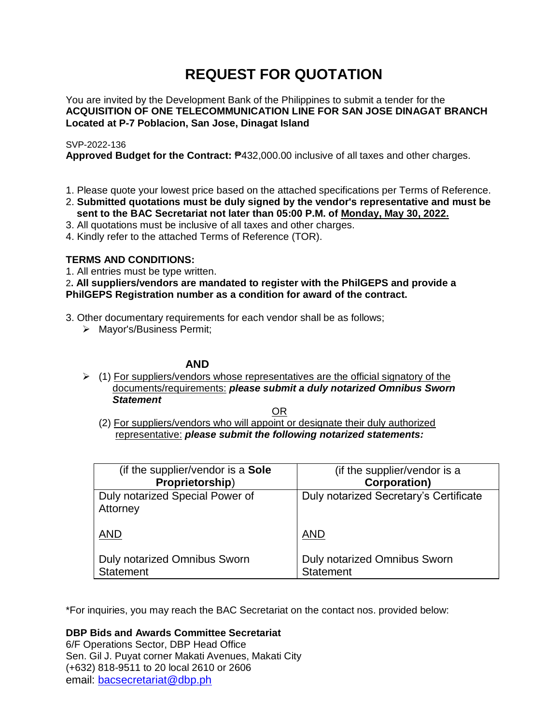# **REQUEST FOR QUOTATION**

You are invited by the Development Bank of the Philippines to submit a tender for the **ACQUISITION OF ONE TELECOMMUNICATION LINE FOR SAN JOSE DINAGAT BRANCH Located at P-7 Poblacion, San Jose, Dinagat Island**

# SVP-2022-136

**Approved Budget for the Contract:** ₱432,000.00 inclusive of all taxes and other charges.

- 1. Please quote your lowest price based on the attached specifications per Terms of Reference.
- 2. **Submitted quotations must be duly signed by the vendor's representative and must be sent to the BAC Secretariat not later than 05:00 P.M. of Monday, May 30, 2022.**
- 3. All quotations must be inclusive of all taxes and other charges.
- 4. Kindly refer to the attached Terms of Reference (TOR).

# **TERMS AND CONDITIONS:**

1. All entries must be type written.

2**. All suppliers/vendors are mandated to register with the PhilGEPS and provide a PhilGEPS Registration number as a condition for award of the contract.**

- 3. Other documentary requirements for each vendor shall be as follows;
	- > Mayor's/Business Permit;

# **AND**

 $\geq$  (1) For suppliers/vendors whose representatives are the official signatory of the documents/requirements: *please submit a duly notarized Omnibus Sworn Statement*

<u>OR Starting and the Starting OR Starting</u>

(2) For suppliers/vendors who will appoint or designate their duly authorized representative: *please submit the following notarized statements:*

| (if the supplier/vendor is a Sole                | (if the supplier/vendor is a                     |
|--------------------------------------------------|--------------------------------------------------|
| Proprietorship)                                  | <b>Corporation)</b>                              |
| Duly notarized Special Power of<br>Attorney      | Duly notarized Secretary's Certificate           |
| <b>AND</b>                                       | <b>AND</b>                                       |
| Duly notarized Omnibus Sworn<br><b>Statement</b> | Duly notarized Omnibus Sworn<br><b>Statement</b> |

\*For inquiries, you may reach the BAC Secretariat on the contact nos. provided below:

**DBP Bids and Awards Committee Secretariat** 

6/F Operations Sector, DBP Head Office Sen. Gil J. Puyat corner Makati Avenues, Makati City (+632) 818-9511 to 20 local 2610 or 2606 email: [bacsecretariat@dbp.ph](mailto:bacsecretariat@dbp.ph)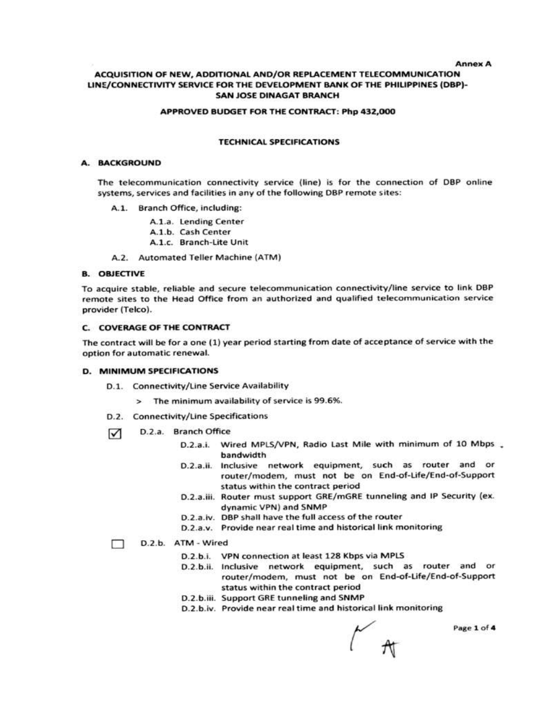**Annex A** 

### ACQUISITION OF NEW, ADDITIONAL AND/OR REPLACEMENT TELECOMMUNICATION LINE/CONNECTIVITY SERVICE FOR THE DEVELOPMENT BANK OF THE PHILIPPINES (DBP)-**SAN JOSE DINAGAT BRANCH**

#### APPROVED BUDGET FOR THE CONTRACT: Php 432,000

#### **TECHNICAL SPECIFICATIONS**

#### A. BACKGROUND

The telecommunication connectivity service (line) is for the connection of DBP online systems, services and facilities in any of the following DBP remote sites:

A.1. Branch Office, including:

A.1.a. Lending Center A.1.b. Cash Center A.1.c. Branch-Lite Unit

A.2. Automated Teller Machine (ATM)

#### **B. OBJECTIVE**

To acquire stable, reliable and secure telecommunication connectivity/line service to link DBP remote sites to the Head Office from an authorized and qualified telecommunication service provider (Telco).

#### C. COVERAGE OF THE CONTRACT

The contract will be for a one (1) year period starting from date of acceptance of service with the option for automatic renewal.

#### **D. MINIMUM SPECIFICATIONS**

- D.1. Connectivity/Line Service Availability
	- > The minimum availability of service is 99.6%.
- D.2. Connectivity/Line Specifications
- D.2.a. Branch Office ☑
	- Wired MPLS/VPN, Radio Last Mile with minimum of 10 Mbps  $D.2.a.i.$ bandwidth
	- D.2.a.ii. Inclusive network equipment, such as router and or router/modem, must not be on End-of-Life/End-of-Support status within the contract period
	- D.2.a.iii. Router must support GRE/mGRE tunneling and IP Security (ex. dynamic VPN) and SNMP
	- D.2.a.iv. DBP shall have the full access of the router
	- D.2.a.v. Provide near real time and historical link monitoring

#### D.2.b. ATM - Wired m.

- D.2.b.i. VPN connection at least 128 Kbps via MPLS
- D.2.b.ii. Inclusive network equipment, such as router and or router/modem, must not be on End-of-Life/End-of-Support status within the contract period
- D.2.b.iii. Support GRE tunneling and SNMP
- D.2.b.iv. Provide near real time and historical link monitoring

Page 1 of 4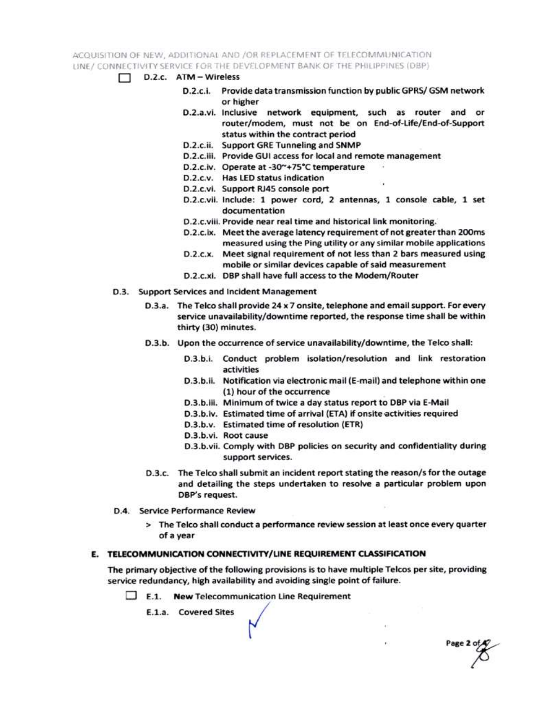ACQUISITION OF NEW, ADDITIONAL AND /OR REPLACEMENT OF TELECOMMUNICATION LINE / CONNECTIVITY SERVICE FOR THE DEVELOPMENT BANK OF THE PHILIPPINES (DBP)

- $\Box$  D.2.c.  $ATM Wireless$ 
	- D.2.c.i. Provide data transmission function by public GPRS/ GSM network or higher
	- D.2.a.vi. Inclusive network equipment, such as router and or router/modem, must not be on End-of-Life/End-of-Support status within the contract period
	- D.2.c.ii. Support GRE Tunneling and SNMP
	- D.2.c.iii. Provide GUI access for local and remote management
	- D.2.c.iv. Operate at -30~+75°C temperature
	- D.2.c.v. Has LED status indication
	- D.2.c.vi. Support RJ45 console port
	- D.2.c.vii. Include: 1 power cord, 2 antennas, 1 console cable, 1 set documentation
	- D.2.c.viii. Provide near real time and historical link monitoring.
	- D.2.c.ix. Meet the average latency requirement of not greater than 200ms measured using the Ping utility or any similar mobile applications
	- D.2.c.x. Meet signal requirement of not less than 2 bars measured using mobile or similar devices capable of said measurement
	- D.2.c.xi. DBP shall have full access to the Modem/Router
- D.3. Support Services and Incident Management
	- D.3.a. The Telco shall provide 24 x 7 onsite, telephone and email support. For every service unavailability/downtime reported, the response time shall be within thirty (30) minutes.
	- D.3.b. Upon the occurrence of service unavailability/downtime, the Telco shall:
		- D.3.b.i. Conduct problem isolation/resolution and link restoration activities
		- D.3.b.ii. Notification via electronic mail (E-mail) and telephone within one (1) hour of the occurrence
		- D.3.b.iii. Minimum of twice a day status report to DBP via E-Mail
		- D.3.b.iv. Estimated time of arrival (ETA) if onsite activities required
		- D.3.b.v. Estimated time of resolution (ETR)
		- D.3.b.vi. Root cause
		- D.3.b.vii. Comply with DBP policies on security and confidentiality during support services.

Page 2 of

- D.3.c. The Telco shall submit an incident report stating the reason/s for the outage and detailing the steps undertaken to resolve a particular problem upon DBP's request.
- D.4. Service Performance Review
	- > The Telco shall conduct a performance review session at least once every quarter of a year

### E. TELECOMMUNICATION CONNECTIVITY/LINE REQUIREMENT CLASSIFICATION

The primary objective of the following provisions is to have multiple Telcos per site, providing service redundancy, high availability and avoiding single point of failure.

 $\Box$  E.1. New Telecommunication Line Requirement

E.1.a. Covered Sites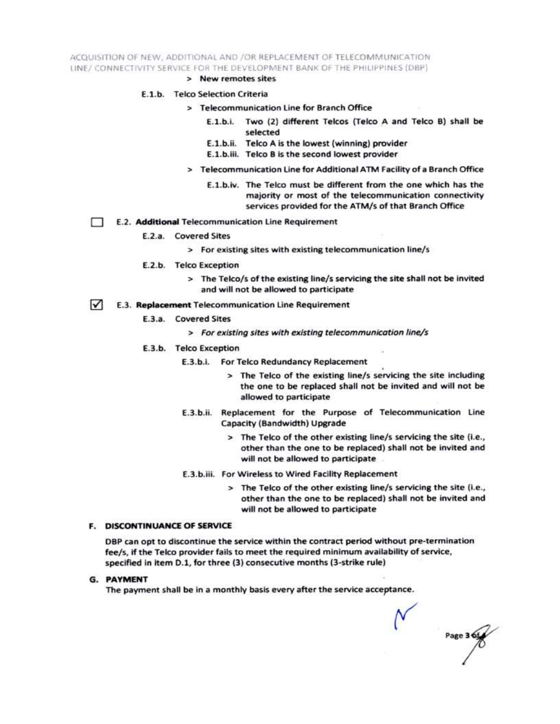ACQUISITION OF NEW, ADDITIONAL AND /OR REPLACEMENT OF TELECOMMUNICATION LINE/ CONNECTIVITY SERVICE FOR THE DEVELOPMENT BANK OF THE PHILIPPINES (DBP)

> New remotes sites

#### E.1.b. Telco Selection Criteria

- > Telecommunication Line for Branch Office
	- E.1.b.i. Two (2) different Telcos (Telco A and Telco B) shall be selected
	- E.1.b.ii. Telco A is the lowest (winning) provider
	- E.1.b.iii. Telco B is the second lowest provider
- > Telecommunication Line for Additional ATM Facility of a Branch Office
	- E.1.b.iv. The Telco must be different from the one which has the majority or most of the telecommunication connectivity services provided for the ATM/s of that Branch Office
- E.2. Additional Telecommunication Line Requirement Ð
	- E.2.a. Covered Sites
		- > For existing sites with existing telecommunication line/s
	- E.2.b. Telco Exception
		- > The Telco/s of the existing line/s servicing the site shall not be invited and will not be allowed to participate
- $\sqrt{ }$ E.3. Replacement Telecommunication Line Requirement
	- E.3.a. Covered Sites
		- > For existing sites with existing telecommunication line/s
	- E.3.b. Telco Exception
		- E.3.b.i. For Telco Redundancy Replacement
			- > The Telco of the existing line/s servicing the site including the one to be replaced shall not be invited and will not be allowed to participate
		- E.3.b.ii. Replacement for the Purpose of Telecommunication Line Capacity (Bandwidth) Upgrade
			- > The Telco of the other existing line/s servicing the site (i.e., other than the one to be replaced) shall not be invited and will not be allowed to participate
		- E.3.b.iii. For Wireless to Wired Facility Replacement
			- > The Telco of the other existing line/s servicing the site (i.e., other than the one to be replaced) shall not be invited and will not be allowed to participate

#### **F. DISCONTINUANCE OF SERVICE**

DBP can opt to discontinue the service within the contract period without pre-termination fee/s, if the Telco provider fails to meet the required minimum availability of service, specified in item D.1, for three (3) consecutive months (3-strike rule)

**G. PAYMENT** 

The payment shall be in a monthly basis every after the service acceptance.

Page 3 6t